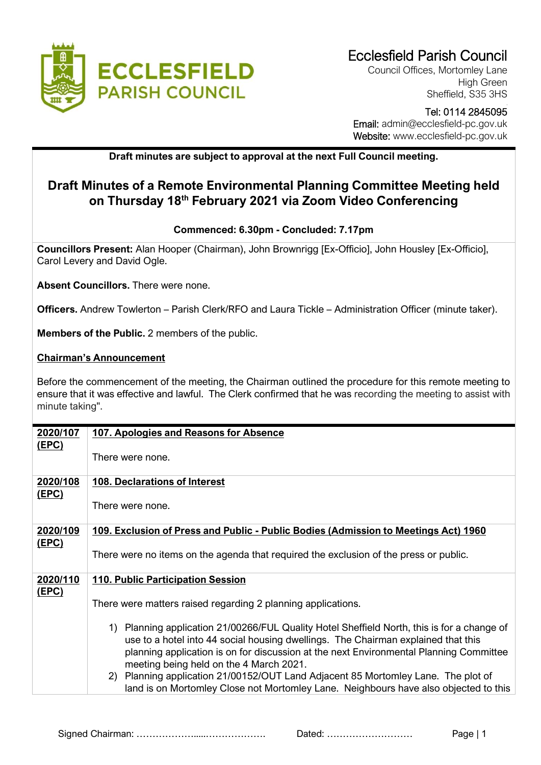

Council Offices, Mortomley Lane High Green Sheffield, S35 3HS

## Tel: 0114 2845095 Email: admin@ecclesfield-pc.gov.uk Website: www.ecclesfield-pc.gov.uk

## **Draft minutes are subject to approval at the next Full Council meeting.**

# **Draft Minutes of a Remote Environmental Planning Committee Meeting held on Thursday 18th February 2021 via Zoom Video Conferencing**

## **Commenced: 6.30pm - Concluded: 7.17pm**

**Councillors Present:** Alan Hooper (Chairman), John Brownrigg [Ex-Officio], John Housley [Ex-Officio], Carol Levery and David Ogle.

**Absent Councillors.** There were none.

**Officers.** Andrew Towlerton – Parish Clerk/RFO and Laura Tickle – Administration Officer (minute taker).

**Members of the Public.** 2 members of the public.

#### **Chairman's Announcement**

Before the commencement of the meeting, the Chairman outlined the procedure for this remote meeting to ensure that it was effective and lawful. The Clerk confirmed that he was recording the meeting to assist with minute taking".

| 2020/107<br>(EPC)        | 107. Apologies and Reasons for Absence                                                                                                                                                                                                                                                                                |
|--------------------------|-----------------------------------------------------------------------------------------------------------------------------------------------------------------------------------------------------------------------------------------------------------------------------------------------------------------------|
|                          | There were none.                                                                                                                                                                                                                                                                                                      |
| 2020/108<br><u>(EPC)</u> | <b>108. Declarations of Interest</b>                                                                                                                                                                                                                                                                                  |
|                          | There were none.                                                                                                                                                                                                                                                                                                      |
| 2020/109                 | 109. Exclusion of Press and Public - Public Bodies (Admission to Meetings Act) 1960                                                                                                                                                                                                                                   |
| <u>(EPC)</u>             | There were no items on the agenda that required the exclusion of the press or public.                                                                                                                                                                                                                                 |
| 2020/110                 | <b>110. Public Participation Session</b>                                                                                                                                                                                                                                                                              |
| <u>(EPC)</u>             | There were matters raised regarding 2 planning applications.                                                                                                                                                                                                                                                          |
|                          | 1) Planning application 21/00266/FUL Quality Hotel Sheffield North, this is for a change of<br>use to a hotel into 44 social housing dwellings. The Chairman explained that this<br>planning application is on for discussion at the next Environmental Planning Committee<br>meeting being held on the 4 March 2021. |
|                          | 2) Planning application 21/00152/OUT Land Adjacent 85 Mortomley Lane. The plot of<br>land is on Mortomley Close not Mortomley Lane. Neighbours have also objected to this                                                                                                                                             |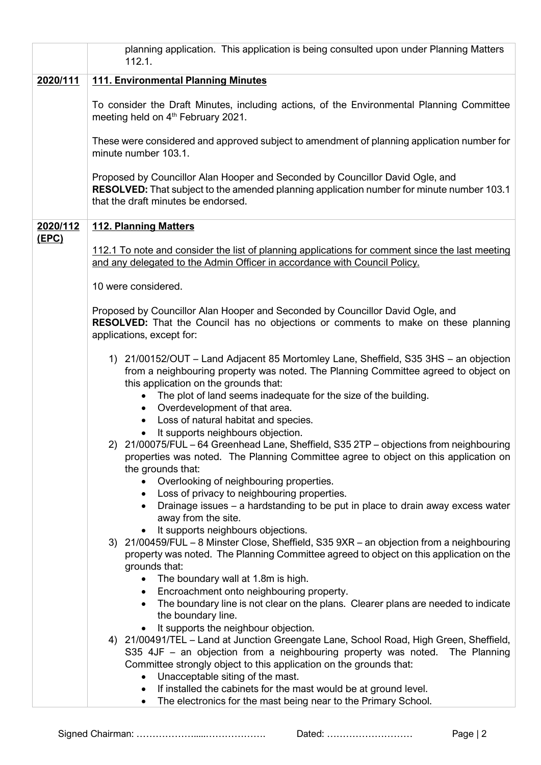|                   | planning application. This application is being consulted upon under Planning Matters<br>112.1.                                                                                                                                                                                                                                                                                                                                                                                                                                                                                                                                |
|-------------------|--------------------------------------------------------------------------------------------------------------------------------------------------------------------------------------------------------------------------------------------------------------------------------------------------------------------------------------------------------------------------------------------------------------------------------------------------------------------------------------------------------------------------------------------------------------------------------------------------------------------------------|
|                   |                                                                                                                                                                                                                                                                                                                                                                                                                                                                                                                                                                                                                                |
| 2020/111          | <b>111. Environmental Planning Minutes</b>                                                                                                                                                                                                                                                                                                                                                                                                                                                                                                                                                                                     |
|                   | To consider the Draft Minutes, including actions, of the Environmental Planning Committee<br>meeting held on 4 <sup>th</sup> February 2021.                                                                                                                                                                                                                                                                                                                                                                                                                                                                                    |
|                   | These were considered and approved subject to amendment of planning application number for<br>minute number 103.1.                                                                                                                                                                                                                                                                                                                                                                                                                                                                                                             |
|                   | Proposed by Councillor Alan Hooper and Seconded by Councillor David Ogle, and<br><b>RESOLVED:</b> That subject to the amended planning application number for minute number 103.1<br>that the draft minutes be endorsed.                                                                                                                                                                                                                                                                                                                                                                                                       |
| 2020/112<br>(EPC) | <b>112. Planning Matters</b>                                                                                                                                                                                                                                                                                                                                                                                                                                                                                                                                                                                                   |
|                   | 112.1 To note and consider the list of planning applications for comment since the last meeting<br>and any delegated to the Admin Officer in accordance with Council Policy.                                                                                                                                                                                                                                                                                                                                                                                                                                                   |
|                   | 10 were considered.                                                                                                                                                                                                                                                                                                                                                                                                                                                                                                                                                                                                            |
|                   | Proposed by Councillor Alan Hooper and Seconded by Councillor David Ogle, and<br><b>RESOLVED:</b> That the Council has no objections or comments to make on these planning<br>applications, except for:                                                                                                                                                                                                                                                                                                                                                                                                                        |
|                   | 1) 21/00152/OUT - Land Adjacent 85 Mortomley Lane, Sheffield, S35 3HS - an objection<br>from a neighbouring property was noted. The Planning Committee agreed to object on<br>this application on the grounds that:<br>The plot of land seems inadequate for the size of the building.<br>$\bullet$<br>• Overdevelopment of that area.<br>Loss of natural habitat and species.<br>$\bullet$<br>It supports neighbours objection.<br>$\bullet$<br>2) 21/00075/FUL - 64 Greenhead Lane, Sheffield, S35 2TP - objections from neighbouring<br>properties was noted. The Planning Committee agree to object on this application on |
|                   | the grounds that:<br>Overlooking of neighbouring properties.<br>$\bullet$<br>Loss of privacy to neighbouring properties.<br>$\bullet$<br>Drainage issues - a hardstanding to be put in place to drain away excess water<br>away from the site.<br>It supports neighbours objections.<br>$\bullet$                                                                                                                                                                                                                                                                                                                              |
|                   | 3) 21/00459/FUL – 8 Minster Close, Sheffield, S35 9XR – an objection from a neighbouring<br>property was noted. The Planning Committee agreed to object on this application on the<br>grounds that:<br>The boundary wall at 1.8m is high.<br>$\bullet$                                                                                                                                                                                                                                                                                                                                                                         |
|                   | Encroachment onto neighbouring property.<br>$\bullet$<br>The boundary line is not clear on the plans. Clearer plans are needed to indicate<br>$\bullet$<br>the boundary line.<br>It supports the neighbour objection.<br>$\bullet$                                                                                                                                                                                                                                                                                                                                                                                             |
|                   | 4) 21/00491/TEL - Land at Junction Greengate Lane, School Road, High Green, Sheffield,<br>S35 4JF - an objection from a neighbouring property was noted. The Planning<br>Committee strongly object to this application on the grounds that:<br>Unacceptable siting of the mast.<br>$\bullet$<br>If installed the cabinets for the mast would be at ground level.<br>$\bullet$<br>The electronics for the mast being near to the Primary School.<br>$\bullet$                                                                                                                                                                   |